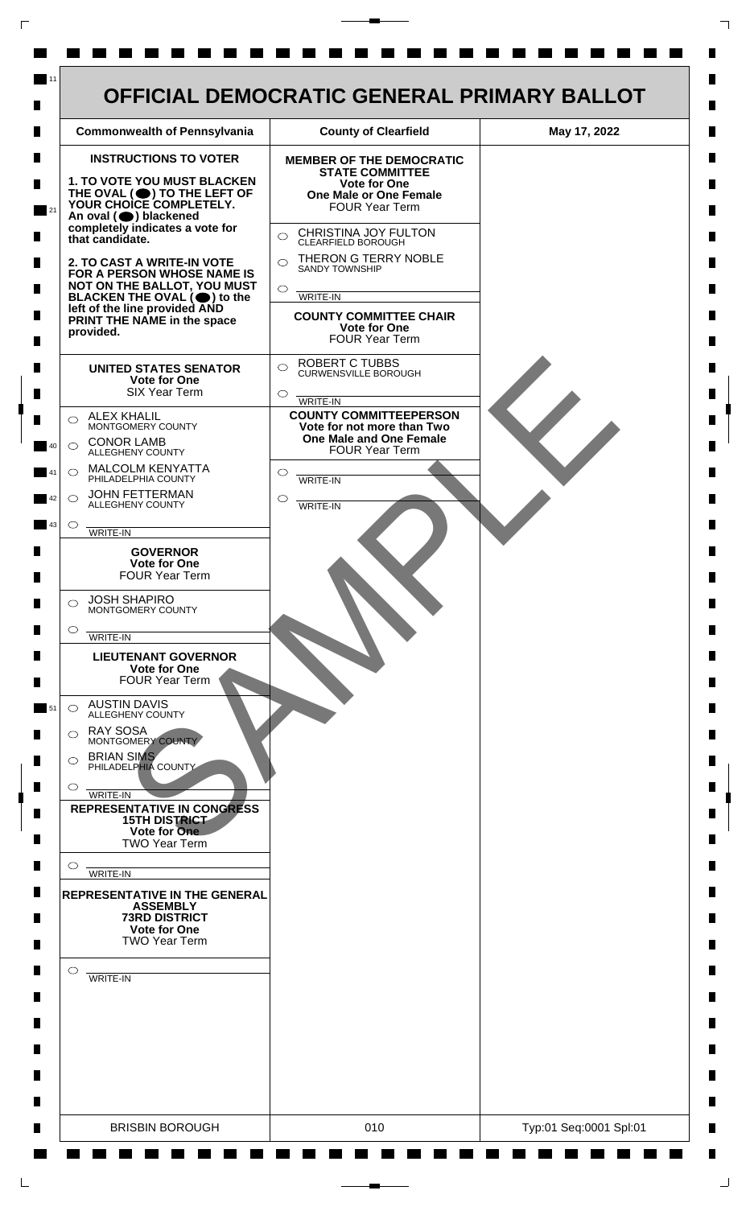| <b>INSTRUCTIONS TO VOTER</b><br><b>MEMBER OF THE DEMOCRATIC</b><br><b>STATE COMMITTEE</b><br>1. TO VOTE YOU MUST BLACKEN<br><b>Vote for One</b><br>THE OVAL (O) TO THE LEFT OF YOUR CHOICE COMPLETELY.<br><b>One Male or One Female</b><br><b>FOUR Year Term</b><br>An oval (O) blackened<br>completely indicates a vote for<br>CHRISTINA JOY FULTON<br>$\bigcirc$<br>that candidate.<br>CLEARFIELD BOROUGH<br>THERON G TERRY NOBLE<br>2. TO CAST A WRITE-IN VOTE<br>$\bigcap$<br><b>SANDY TOWNSHIP</b><br>FOR A PERSON WHOSE NAME IS<br>NOT ON THE BALLOT, YOU MUST<br>$\circ$<br>BLACKEN THE OVAL $(\bigcirc)$ to the<br>WRITE-IN<br>left of the line provided AND<br><b>COUNTY COMMITTEE CHAIR</b><br>PRINT THE NAME in the space<br><b>Vote for One</b><br>provided.<br>FOUR Year Term<br><b>ROBERT C TUBBS</b><br>$\bigcirc$<br><b>UNITED STATES SENATOR</b><br><b>CURWENSVILLE BOROUGH</b><br><b>Vote for One</b><br><b>SIX Year Term</b><br>$\circ$<br>WRITE-IN<br><b>COUNTY COMMITTEEPERSON</b><br><b>ALEX KHALIL</b><br>$\bigcirc$<br>MONTGOMERY COUNTY<br>Vote for not more than Two<br>One Male and One Female<br><b>CONOR LAMB</b><br>$\bigcirc$<br><b>FOUR Year Term</b><br>ALLEGHENY COUNTY<br><b>MALCOLM KENYATTA</b><br>$\circlearrowright$<br>$\circlearrowright$<br>PHILADELPHIA COUNTY<br>WRITE-IN<br><b>JOHN FETTERMAN</b><br>◯<br>◯<br>ALLEGHENY COUNTY<br><b>WRITE-IN</b><br>$\circ$<br>WRITE-IN<br><b>GOVERNOR</b><br>Vote for One<br><b>FOUR Year Term</b><br><b>JOSH SHAPIRO</b><br>⌒<br>MONTGOMERY COUNTY<br>$\circ$<br>WRITE-IN<br><b>LIEUTENANT GOVERNOR</b><br><b>Vote for One</b><br><b>FOUR Year Term</b><br><b>AUSTIN DAVIS</b><br>$\circ$<br><b>ALLEGHENY COUNTY</b><br><b>RAY SOSA</b><br>⌒<br>MONTGOMERY COUNTY<br><b>BRIAN SIMS</b><br>PHILADELPHIA COUNTY<br>$\circ$<br>WRITE-IN<br><b>REPRESENTATIVE IN CONGRESS</b><br><b>15TH DISTRICT</b><br>Vote for One<br><b>TWO Year Term</b><br>O<br>WRITE-IN<br><b>REPRESENTATIVE IN THE GENERAL</b><br><b>ASSEMBLY</b><br><b>73RD DISTRICT</b><br><b>Vote for One</b><br><b>TWO Year Term</b> |  |  |
|-------------------------------------------------------------------------------------------------------------------------------------------------------------------------------------------------------------------------------------------------------------------------------------------------------------------------------------------------------------------------------------------------------------------------------------------------------------------------------------------------------------------------------------------------------------------------------------------------------------------------------------------------------------------------------------------------------------------------------------------------------------------------------------------------------------------------------------------------------------------------------------------------------------------------------------------------------------------------------------------------------------------------------------------------------------------------------------------------------------------------------------------------------------------------------------------------------------------------------------------------------------------------------------------------------------------------------------------------------------------------------------------------------------------------------------------------------------------------------------------------------------------------------------------------------------------------------------------------------------------------------------------------------------------------------------------------------------------------------------------------------------------------------------------------------------------------------------------------------------------------------------------------------------------------------------------------------------------------------------------------------------------------------------------------------------------------------|--|--|
|                                                                                                                                                                                                                                                                                                                                                                                                                                                                                                                                                                                                                                                                                                                                                                                                                                                                                                                                                                                                                                                                                                                                                                                                                                                                                                                                                                                                                                                                                                                                                                                                                                                                                                                                                                                                                                                                                                                                                                                                                                                                               |  |  |
| $\circ$<br>WRITE-IN                                                                                                                                                                                                                                                                                                                                                                                                                                                                                                                                                                                                                                                                                                                                                                                                                                                                                                                                                                                                                                                                                                                                                                                                                                                                                                                                                                                                                                                                                                                                                                                                                                                                                                                                                                                                                                                                                                                                                                                                                                                           |  |  |

 $\Gamma$ 

 $\Box$ 

 $\perp$ 

٦